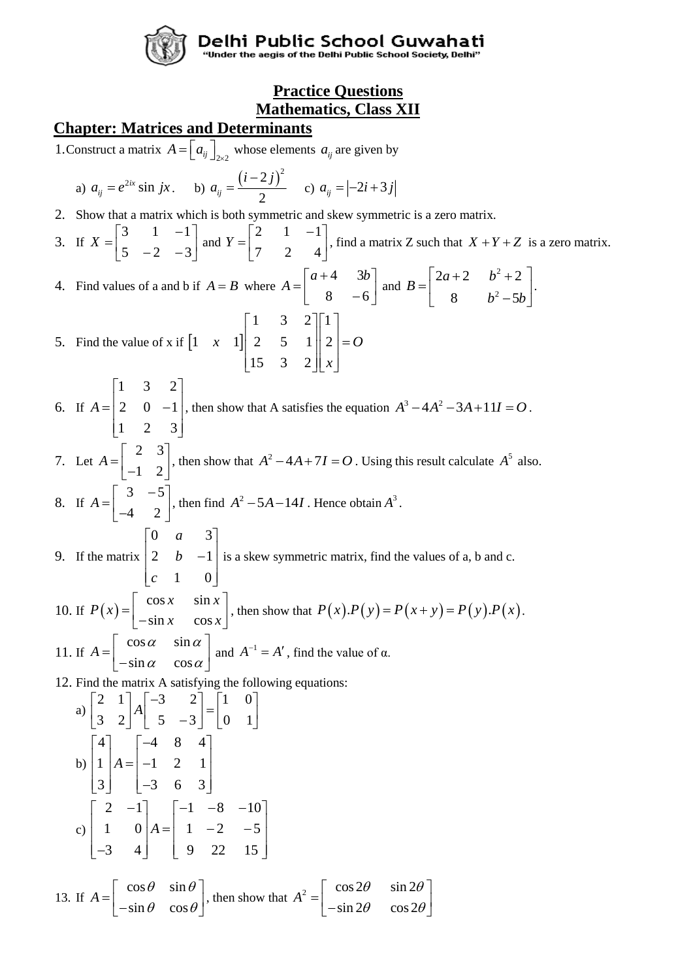

Delhi Public School Guwahati<br>"Under the aegis of the Delhi Public School Society, Delhi"

# **Practice Questions Mathematics, Class XII**

# **Chapter: Matrices and Determinants**

1. Construct a matrix  $A = \begin{bmatrix} a_{ij} \end{bmatrix}_{2\times 2}$  whose elements  $a_{ij}$  are given by

a) 
$$
a_{ij} = e^{2ix} \sin jx
$$
. b)  $a_{ij} = \frac{(i-2j)^2}{2}$  c)  $a_{ij} = [-2i+3j]$ 

2. Show that a matrix which is both symmetric and skew symmetric is a zero matrix.

3. If 
$$
X = \begin{bmatrix} 3 & 1 & -1 \\ 5 & -2 & -3 \end{bmatrix}
$$
 and  $Y = \begin{bmatrix} 2 & 1 & -1 \\ 7 & 2 & 4 \end{bmatrix}$ , find a matrix Z such that  $X + Y + Z$  is a zero matrix.

4. Find values of a and b if  $A = B$  where 4 3 8 –6  $a+4$  3*b*  $A = \begin{bmatrix} a+4 & 3b \\ 8 & -6 \end{bmatrix}$  and 2 2  $2a+2$   $b^2+2$ 8  $b^2-5$ *a b B*  $b^2$  – 5 $b$  $= \begin{bmatrix} 2a+2 & b^2+2 \\ 8 & b^2-5b \end{bmatrix}.$ 1 3 2 1 1  $\begin{bmatrix} 1 & 3 & 2 \end{bmatrix}$ 

5. Find the value of x if  $\begin{bmatrix} 1 & x & 1 \end{bmatrix}$  $1 \times 11 \times 2 = 5 \times 11 \times 2$ 15 3 2 *x* 1|| 2 5 1|| 2|=0 *x*  $\begin{vmatrix} 2 & 5 & 1 \end{vmatrix}$   $2 \begin{vmatrix} = 2 \end{vmatrix}$  $\begin{bmatrix} 15 & 3 & 2 \end{bmatrix} \begin{bmatrix} x \end{bmatrix}$ 

- 6. If 1 3 2 2  $0 -1$ 1 2 3 *A*  $\begin{bmatrix} 1 & 3 & 2 \end{bmatrix}$  $\begin{bmatrix} 2 & 0 & 1 \end{bmatrix}$  $= 2 \quad 0 \quad -1$  $\begin{bmatrix} 1 & 2 & 3 \end{bmatrix}$ , then show that A satisfies the equation  $A^3 - 4A^2 - 3A + 11I = O$ .
- 7. Let 2 3 1 2 *A*  $\begin{bmatrix} 2 & 3 \\ -1 & 2 \end{bmatrix}$ , then show that  $A^2 - 4A + 7I = O$ . Using this result calculate  $A^5$  also. 8. If  $A = \begin{bmatrix} 3 & -5 \\ 1 & 2 \end{bmatrix}$ 4 2  $A = \begin{bmatrix} 3 & -5 \\ -4 & 2 \end{bmatrix}$ , then find  $A^2 - 5A - 14I$ . Hence obtain  $A^3$ .

9. If the matrix 0 *a* 3 2  $b -1$ 1 0 *a b c*  $\begin{bmatrix} 0 & a & 3 \end{bmatrix}$  $\begin{vmatrix} 2 & b & -1 \end{vmatrix}$  $\begin{bmatrix} c & 1 & 0 \end{bmatrix}$ is a skew symmetric matrix, find the values of a, b and c.

10. If 
$$
P(x) = \begin{bmatrix} \cos x & \sin x \\ -\sin x & \cos x \end{bmatrix}
$$
, then show that  $P(x).P(y) = P(x + y) = P(y).P(x)$ .  
11. If  $A = \begin{bmatrix} \cos \alpha & \sin \alpha \\ -\sin \alpha & \cos \alpha \end{bmatrix}$  and  $A^{-1} = A'$ , find the value of  $\alpha$ .

12. Find the matrix A satisfying the following equations:

a) 
$$
\begin{bmatrix} 2 & 1 \\ 3 & 2 \end{bmatrix} A \begin{bmatrix} -3 & 2 \\ 5 & -3 \end{bmatrix} = \begin{bmatrix} 1 & 0 \\ 0 & 1 \end{bmatrix}
$$
  
\nb)  $\begin{bmatrix} 4 \\ 1 \\ 3 \end{bmatrix} A = \begin{bmatrix} -4 & 8 & 4 \\ -1 & 2 & 1 \\ -3 & 6 & 3 \end{bmatrix}$   
\nc)  $\begin{bmatrix} 2 & -1 \\ 1 & 0 \\ -3 & 4 \end{bmatrix} A = \begin{bmatrix} -1 & -8 & -10 \\ 1 & -2 & -5 \\ 9 & 22 & 15 \end{bmatrix}$ 

13. If 
$$
A = \begin{bmatrix} \cos \theta & \sin \theta \\ -\sin \theta & \cos \theta \end{bmatrix}
$$
, then show that  $A^2 = \begin{bmatrix} \cos 2\theta & \sin 2\theta \\ -\sin 2\theta & \cos 2\theta \end{bmatrix}$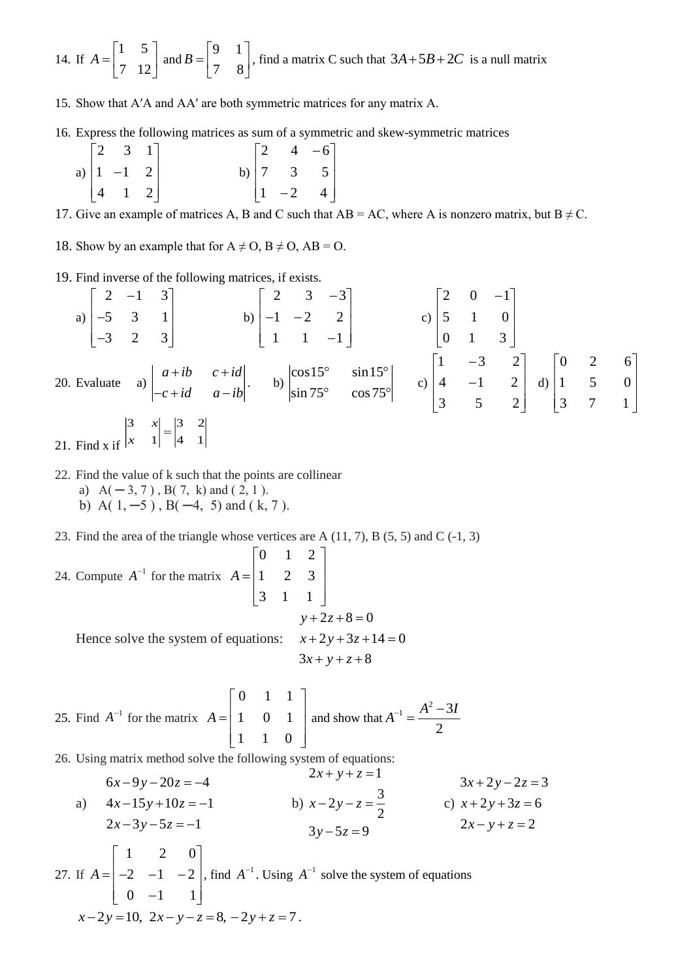14. If 
$$
A = \begin{bmatrix} 1 & 5 \\ 7 & 12 \end{bmatrix}
$$
 and  $B = \begin{bmatrix} 9 & 1 \\ 7 & 8 \end{bmatrix}$ , find a matrix C such that  $3A + 5B + 2C$  is a null matrix

15. Show that A′A and AA′ are both symmetric matrices for any matrix A.

16. Express the following matrices as sum of a symmetric and skew-symmetric matrices

|  | $\begin{bmatrix} 2 & 3 & 1 \end{bmatrix}$     |  |                                                                          |  |
|--|-----------------------------------------------|--|--------------------------------------------------------------------------|--|
|  | a) $\begin{vmatrix} 1 & -1 & 2 \end{vmatrix}$ |  |                                                                          |  |
|  | $\begin{bmatrix} 4 & 1 & 2 \end{bmatrix}$     |  | b) $\begin{bmatrix} 2 & 4 & -6 \\ 7 & 3 & 5 \\ 1 & -2 & 4 \end{bmatrix}$ |  |

17. Give an example of matrices A, B and C such that  $AB = AC$ , where A is nonzero matrix, but  $B \neq C$ .

18. Show by an example that for  $A \neq O$ ,  $B \neq O$ ,  $AB = O$ .

19. Find inverse of the following matrices, if exists.

a) 
$$
\begin{bmatrix} 2 & -1 & 3 \\ -5 & 3 & 1 \\ -3 & 2 & 3 \end{bmatrix}
$$
 b)  $\begin{bmatrix} 2 & 3 & -3 \\ -1 & -2 & 2 \\ 1 & 1 & -1 \end{bmatrix}$  c)  $\begin{bmatrix} 2 & 0 & -1 \\ 5 & 1 & 0 \\ 0 & 1 & 3 \end{bmatrix}$   
20. Evaluate a)  $\begin{vmatrix} a+ib & c+id \\ -c+id & a-ib \end{vmatrix}$  b)  $\begin{vmatrix} \cos 15^{\circ} & \sin 15^{\circ} \\ \sin 75^{\circ} & \cos 75^{\circ} \end{vmatrix}$  c)  $\begin{bmatrix} 1 & -3 & 2 \\ 4 & -1 & 2 \\ 3 & 5 & 2 \end{bmatrix}$  d)  $\begin{bmatrix} 0 & 2 & 6 \\ 1 & 5 & 0 \\ 3 & 7 & 1 \end{bmatrix}$   
21. Find x if  $\begin{vmatrix} 3 & x \\ x & 1 \end{vmatrix} = \begin{vmatrix} 3 & 2 \\ 4 & 1 \end{vmatrix}$ 

22. Find the value of k such that the points are collinear

a)  $A(-3, 7)$ ,  $B(7, k)$  and  $(2, 1)$ . b) A( $1, -5$ ), B( $-4, 5$ ) and ( $k, 7$ ).

23. Find the area of the triangle whose vertices are A  $(11, 7)$ , B  $(5, 5)$  and C  $(-1, 3)$ 

- 24. Compute  $A^{-1}$  for the matrix  $A = \begin{vmatrix} 1 & 2 & 3 \end{vmatrix}$  $\begin{bmatrix} 0 & 1 & 2 \end{bmatrix}$ 3 1 1  $A = \begin{bmatrix} 1 & 2 & 3 \end{bmatrix}$  $\begin{bmatrix} 3 & 1 & 1 \end{bmatrix}$ Hence solve the system of equations:  $x+2y+3z+14=0$  $y + 2z + 8 = 0$  $3x + y + z + 8$ 
	- 25. Find  $A^{-1}$  for the matrix 0 1 1  $A = \begin{vmatrix} 1 & 0 & 1 \end{vmatrix}$ 1 1 0  $\begin{bmatrix} 0 & 1 & 1 \end{bmatrix}$  $=\begin{vmatrix} 1 & 0 & 1 \end{vmatrix}$  a  $\begin{bmatrix} 1 & 1 & 0 \end{bmatrix}$ and show that  $A^2-3$ 2  $A^{-1} = \frac{A^2 - 3I}{4}$

26. Using matrix method solve the following system of equations:

$$
6x-9y-20z = -4
$$
  
\n(a)  $4x-15y+10z = -1$   
\n $2x-3y-5z = -1$   
\n(b)  $x-2y-z = \frac{3}{2}$   
\n $3y-5z = 9$   
\n(c)  $x+2y+3z = 6$   
\n $2x-y+z = 2$   
\n $2x-y+z = 2$   
\n $2x-y+z = 2$   
\n $2x-2y=10$ ,  $2x-y-z = 8$ ,  $-2y+z = 7$ .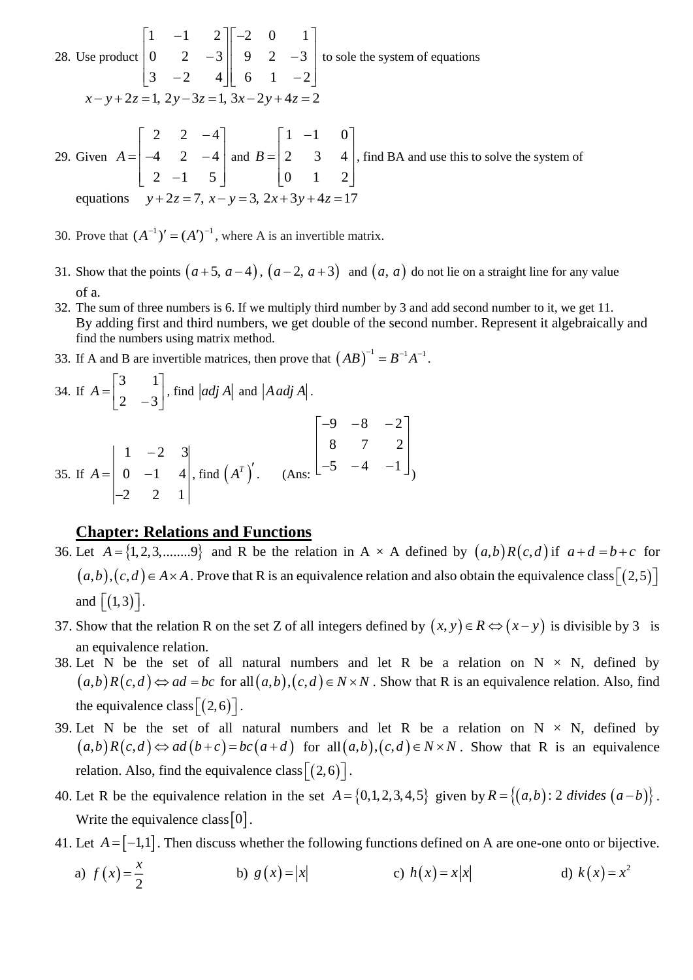28. Use product  $1 \quad -1 \quad 2 \parallel -2 \quad 0 \quad 1$  $0 \t2 \t-3 \t1 \t9 \t2 \t-3$ 3  $-2$  4  $1$  6 1  $-2$  $\begin{bmatrix} 1 & -1 & 2 \end{bmatrix} \begin{bmatrix} -2 & 0 & 1 \end{bmatrix}$  $\begin{vmatrix} 0 & 2 & -3 \end{vmatrix}$  9 2 -3  $\begin{bmatrix} 3 & -2 & 4 \end{bmatrix}$  6 1 -2 to sole the system of equations  $x - y + 2z = 1$ ,  $2y - 3z = 1$ ,  $3x - 2y + 4z = 2$ 29. Given 2 2  $-4$  $4 \t2 \t-4$  $2 -1 5$ *A*  $\begin{bmatrix} 2 & 2 & -4 \end{bmatrix}$  $=\begin{vmatrix} 2 & 2 & 1 \\ -4 & 2 & -4 \end{vmatrix}$  and  $\begin{bmatrix} 2 & -1 & 5 \end{bmatrix}$ and  $1 \quad -1 \quad 0$ 2 3 4 0 1 2 *B*  $\begin{bmatrix} 1 & -1 & 0 \end{bmatrix}$  $=\begin{bmatrix} 2 & 3 & 4 \end{bmatrix}$  $\begin{bmatrix} 0 & 1 & 2 \end{bmatrix}$ , find BA and use this to solve the system of equations  $y+2z=7$ ,  $x-y=3$ ,  $2x+3y+4z=17$ 

30. Prove that  $(A^{-1})' = (A')^{-1}$ , where A is an invertible matrix.

- 31. Show that the points  $(a+5, a-4)$ ,  $(a-2, a+3)$  and  $(a, a)$  do not lie on a straight line for any value of a.
- 32. The sum of three numbers is 6. If we multiply third number by 3 and add second number to it, we get 11. By adding first and third numbers, we get double of the second number. Represent it algebraically and find the numbers using matrix method.
- 33. If A and B are invertible matrices, then prove that  $(AB)^{-1} = B^{-1}A^{-1}$ .

34. If 
$$
A = \begin{bmatrix} 3 & 1 \ 2 & -3 \end{bmatrix}
$$
, find  $|adj A|$  and  $|A adj A|$ .  
\n35. If  $A = \begin{bmatrix} 1 & -2 & 3 \ 0 & -1 & 4 \ -2 & 2 & 1 \end{bmatrix}$ , find  $(A^T)'$ . (Ans:  $\begin{bmatrix} -9 & -8 & -2 \ 8 & 7 & 2 \ -5 & -4 & -1 \end{bmatrix}$ )

### **Chapter: Relations and Functions**

- 36. Let  $A = \{1, 2, 3, \dots, 9\}$  and R be the relation in A  $\times$  A defined by  $(a,b)R(c,d)$  if  $a+d=b+c$  for  $(a,b),(c,d) \in A \times A$  . Prove that R is an equivalence relation and also obtain the equivalence class  $[(2,5)]$ and  $\left[ (1,3) \right]$ .
- 37. Show that the relation R on the set Z of all integers defined by  $(x, y) \in R \Leftrightarrow (x y)$  is divisible by 3 is an equivalence relation.
- 38. Let N be the set of all natural numbers and let R be a relation on  $N \times N$ , defined by  $(a,b)R(c,d) \Leftrightarrow ad = bc$  for all  $(a,b),(c,d) \in N \times N$ . Show that R is an equivalence relation. Also, find the equivalence class  $[(2,6)]$ .
- 39. Let N be the set of all natural numbers and let R be a relation on  $N \times N$ , defined by  $(a,b)R(c,d) \Leftrightarrow ad(b+c)=bc(a+d)$  for  $all(a,b),(c,d) \in N \times N$ . Show that R is an equivalence relation. Also, find the equivalence class  $\left[ (2,6) \right]$ .
- 40. Let R be the equivalence relation in the set  $A = \{0, 1, 2, 3, 4, 5\}$  given by  $R = \{(a, b): 2 \text{ divides } (a b)\}$ . Write the equivalence class  $[0]$ .
- 41. Let  $A = [-1,1]$ . Then discuss whether the following functions defined on A are one-one onto or bijective.

a) 
$$
f(x) = \frac{x}{2}
$$
 b)  $g(x) = |x|$  c)  $h(x) = x|x|$  d)  $k(x) = x^2$